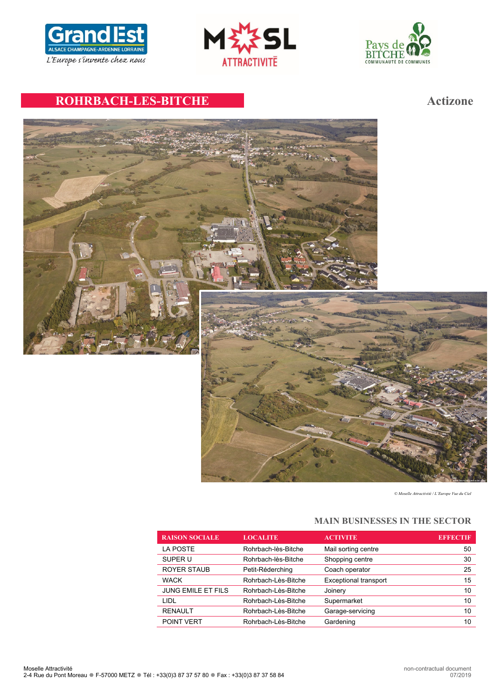





# **ROHRBACH-LES-BITCHE Actizone**



*© Moselle Attractivité / L'Europe Vue du Ciel*

# **MAIN BUSINESSES IN THE SECTOR**

| <b>RAISON SOCIALE</b>     | <b>LOCALITE</b>     | <b>ACTIVITE</b>              | <b>EFFECTIF</b> |
|---------------------------|---------------------|------------------------------|-----------------|
| LA POSTE                  | Rohrbach-lès-Bitche | Mail sorting centre          | 50              |
| SUPER U                   | Rohrbach-lès-Bitche | Shopping centre              | 30              |
| <b>ROYER STAUB</b>        | Petit-Réderching    | Coach operator               | 25              |
| <b>WACK</b>               | Rohrbach-Lès-Bitche | <b>Exceptional transport</b> | 15              |
| <b>JUNG EMILE ET FILS</b> | Rohrbach-Lès-Bitche | Joinery                      | 10              |
| LIDL                      | Rohrbach-Lès-Bitche | Supermarket                  | 10              |
| <b>RENAULT</b>            | Rohrbach-Lès-Bitche | Garage-servicing             | 10              |
| POINT VERT                | Rohrbach-Lès-Bitche | Gardening                    | 10              |